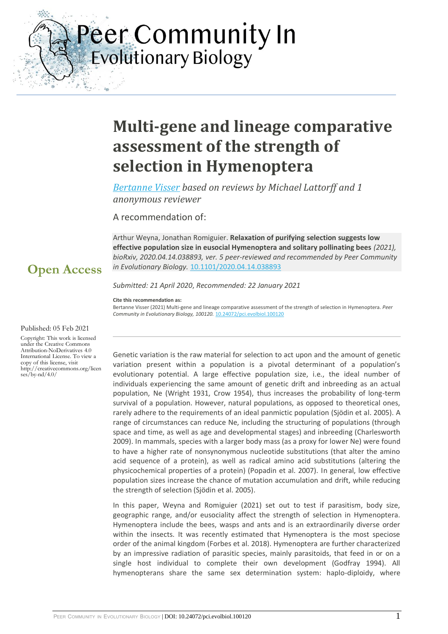Peer Community In **Evolutionary Biology** 

# **Multi-gene and lineage comparative assessment of the strength of selection in Hymenoptera**

*[Bertanne Visser](https://evolbiol.peercommunityin.org/public/viewUserCard?userId=795) based on reviews by Michael Lattorff and 1 anonymous reviewer*

A recommendation of:

Arthur Weyna, Jonathan Romiguier. **Relaxation of purifying selection suggests low effective population size in eusocial Hymenoptera and solitary pollinating bees** *(2021), bioRxiv, 2020.04.14.038893, ver. 5 peer-reviewed and recommended by Peer Community in Evolutionary Biology.* [10.1101/2020.04.14.038893](https://doi.org/10.1101/2020.04.14.038893)

## **Open Access**

 $\frac{1}{2}$ 

 $\mathcal{L}_{\frac{2\pi}{2\pi}}$ 

*Submitted: 21 April 2020*, *Recommended: 22 January 2021*

**Cite this recommendation as:**

Bertanne Visser (2021) Multi-gene and lineage comparative assessment of the strength of selection in Hymenoptera. *Peer Community in Evolutionary Biology, 100120.* [10.24072/pci.evolbiol.100120](https://doi.org/10.24072/pci.evolbiol.100120)

#### Published: 05 Feb 2021

Copyright: This work is licensed under the Creative Commons Attribution-NoDerivatives 4.0 International License. To view a copy of this license, visit http://creativecommons.org/licen ses/by-nd/4.0/

Genetic variation is the raw material for selection to act upon and the amount of genetic variation present within a population is a pivotal determinant of a population's evolutionary potential. A large effective population size, i.e., the ideal number of individuals experiencing the same amount of genetic drift and inbreeding as an actual population, Ne (Wright 1931, Crow 1954), thus increases the probability of long-term survival of a population. However, natural populations, as opposed to theoretical ones, rarely adhere to the requirements of an ideal panmictic population (Sjödin et al. 2005). A range of circumstances can reduce Ne, including the structuring of populations (through space and time, as well as age and developmental stages) and inbreeding (Charlesworth 2009). In mammals, species with a larger body mass (as a proxy for lower Ne) were found to have a higher rate of nonsynonymous nucleotide substitutions (that alter the amino acid sequence of a protein), as well as radical amino acid substitutions (altering the physicochemical properties of a protein) (Popadin et al. 2007). In general, low effective population sizes increase the chance of mutation accumulation and drift, while reducing the strength of selection (Sjödin et al. 2005).

In this paper, Weyna and Romiguier (2021) set out to test if parasitism, body size, geographic range, and/or eusociality affect the strength of selection in Hymenoptera. Hymenoptera include the bees, wasps and ants and is an extraordinarily diverse order within the insects. It was recently estimated that Hymenoptera is the most speciose order of the animal kingdom (Forbes et al. 2018). Hymenoptera are further characterized by an impressive radiation of parasitic species, mainly parasitoids, that feed in or on a single host individual to complete their own development (Godfray 1994). All hymenopterans share the same sex determination system: haplo-diploidy, where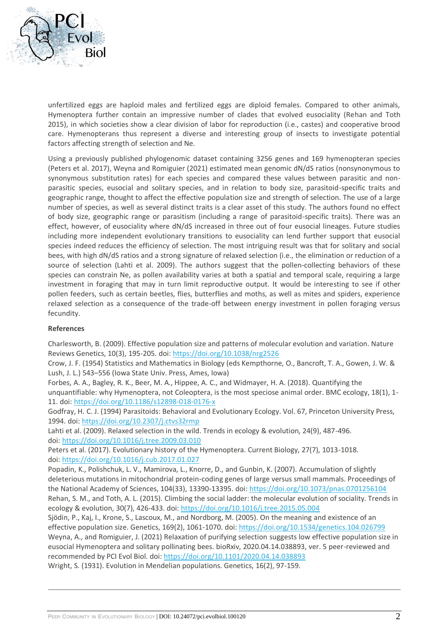

unfertilized eggs are haploid males and fertilized eggs are diploid females. Compared to other animals, Hymenoptera further contain an impressive number of clades that evolved eusociality (Rehan and Toth 2015), in which societies show a clear division of labor for reproduction (i.e., castes) and cooperative brood care. Hymenopterans thus represent a diverse and interesting group of insects to investigate potential factors affecting strength of selection and Ne.

Using a previously published phylogenomic dataset containing 3256 genes and 169 hymenopteran species (Peters et al. 2017), Weyna and Romiguier (2021) estimated mean genomic dN/dS ratios (nonsynonymous to synonymous substitution rates) for each species and compared these values between parasitic and nonparasitic species, eusocial and solitary species, and in relation to body size, parasitoid-specific traits and geographic range, thought to affect the effective population size and strength of selection. The use of a large number of species, as well as several distinct traits is a clear asset of this study. The authors found no effect of body size, geographic range or parasitism (including a range of parasitoid-specific traits). There was an effect, however, of eusociality where dN/dS increased in three out of four eusocial lineages. Future studies including more independent evolutionary transitions to eusociality can lend further support that eusocial species indeed reduces the efficiency of selection. The most intriguing result was that for solitary and social bees, with high dN/dS ratios and a strong signature of relaxed selection (i.e., the elimination or reduction of a source of selection (Lahti et al. 2009). The authors suggest that the pollen-collecting behaviors of these species can constrain Ne, as pollen availability varies at both a spatial and temporal scale, requiring a large investment in foraging that may in turn limit reproductive output. It would be interesting to see if other pollen feeders, such as certain beetles, flies, butterflies and moths, as well as mites and spiders, experience relaxed selection as a consequence of the trade-off between energy investment in pollen foraging versus fecundity.

### **References**

Charlesworth, B. (2009). Effective population size and patterns of molecular evolution and variation. Nature Reviews Genetics, 10(3), 195-205. doi: <https://doi.org/10.1038/nrg2526>

Crow, J. F. (1954) Statistics and Mathematics in Biology (eds Kempthorne, O., Bancroft, T. A., Gowen, J. W. & Lush, J. L.) 543–556 (Iowa State Univ. Press, Ames, Iowa)

Forbes, A. A., Bagley, R. K., Beer, M. A., Hippee, A. C., and Widmayer, H. A. (2018). Quantifying the unquantifiable: why Hymenoptera, not Coleoptera, is the most speciose animal order. BMC ecology, 18(1), 1- 11. doi: <https://doi.org/10.1186/s12898-018-0176-x>

Godfray, H. C. J. (1994) Parasitoids: Behavioral and Evolutionary Ecology. Vol. 67, Princeton University Press, 1994. doi: <https://doi.org/10.2307/j.ctvs32rmp>

Lahti et al. (2009). Relaxed selection in the wild. Trends in ecology & evolution, 24(9), 487-496. doi: <https://doi.org/10.1016/j.tree.2009.03.010>

Peters et al. (2017). Evolutionary history of the Hymenoptera. Current Biology, 27(7), 1013-1018. doi: <https://doi.org/10.1016/j.cub.2017.01.027>

Popadin, K., Polishchuk, L. V., Mamirova, L., Knorre, D., and Gunbin, K. (2007). Accumulation of slightly deleterious mutations in mitochondrial protein-coding genes of large versus small mammals. Proceedings of the National Academy of Sciences, 104(33), 13390-13395. doi: <https://doi.org/10.1073/pnas.0701256104> Rehan, S. M., and Toth, A. L. (2015). Climbing the social ladder: the molecular evolution of sociality. Trends in ecology & evolution, 30(7), 426-433. doi: <https://doi.org/10.1016/j.tree.2015.05.004>

Sjödin, P., Kaj, I., Krone, S., Lascoux, M., and Nordborg, M. (2005). On the meaning and existence of an effective population size. Genetics, 169(2), 1061-1070. doi: <https://doi.org/10.1534/genetics.104.026799> Weyna, A., and Romiguier, J. (2021) Relaxation of purifying selection suggests low effective population size in eusocial Hymenoptera and solitary pollinating bees. bioRxiv, 2020.04.14.038893, ver. 5 peer-reviewed and recommended by PCI Evol Biol. doi: <https://doi.org/10.1101/2020.04.14.038893>

Wright, S. (1931). Evolution in Mendelian populations. Genetics, 16(2), 97-159.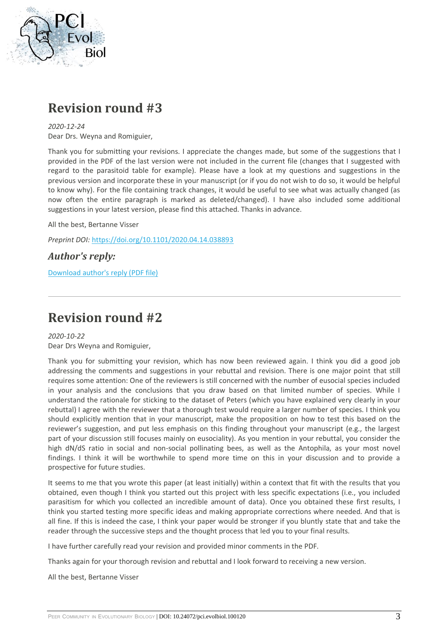

# **Revision round #3**

*2020-12-24* Dear Drs. Weyna and Romiguier,

Thank you for submitting your revisions. I appreciate the changes made, but some of the suggestions that I provided in the PDF of the last version were not included in the current file (changes that I suggested with regard to the parasitoid table for example). Please have a look at my questions and suggestions in the previous version and incorporate these in your manuscript (or if you do not wish to do so, it would be helpful to know why). For the file containing track changes, it would be useful to see what was actually changed (as now often the entire paragraph is marked as deleted/changed). I have also included some additional suggestions in your latest version, please find this attached. Thanks in advance.

All the best, Bertanne Visser

*Preprint DOI:* <https://doi.org/10.1101/2020.04.14.038893>

*Author's reply:*

[Download author's reply \(PDF file\)](https://evolbiol.peercommunityin.org/download/t_recommendations.reply_pdf.ad2a88e74c5e5b06.726573706f6e73655f746f5f7265766965775f726f756e64332e706466.pdf)

# **Revision round #2**

*2020-10-22* Dear Drs Weyna and Romiguier,

Thank you for submitting your revision, which has now been reviewed again. I think you did a good job addressing the comments and suggestions in your rebuttal and revision. There is one major point that still requires some attention: One of the reviewers is still concerned with the number of eusocial species included in your analysis and the conclusions that you draw based on that limited number of species. While I understand the rationale for sticking to the dataset of Peters (which you have explained very clearly in your rebuttal) I agree with the reviewer that a thorough test would require a larger number of species. I think you should explicitly mention that in your manuscript, make the proposition on how to test this based on the reviewer's suggestion, and put less emphasis on this finding throughout your manuscript (e.g., the largest part of your discussion still focuses mainly on eusociality). As you mention in your rebuttal, you consider the high dN/dS ratio in social and non-social pollinating bees, as well as the Antophila, as your most novel findings. I think it will be worthwhile to spend more time on this in your discussion and to provide a prospective for future studies.

It seems to me that you wrote this paper (at least initially) within a context that fit with the results that you obtained, even though I think you started out this project with less specific expectations (i.e., you included parasitism for which you collected an incredible amount of data). Once you obtained these first results, I think you started testing more specific ideas and making appropriate corrections where needed. And that is all fine. If this is indeed the case, I think your paper would be stronger if you bluntly state that and take the reader through the successive steps and the thought process that led you to your final results.

I have further carefully read your revision and provided minor comments in the PDF.

Thanks again for your thorough revision and rebuttal and I look forward to receiving a new version.

All the best, Bertanne Visser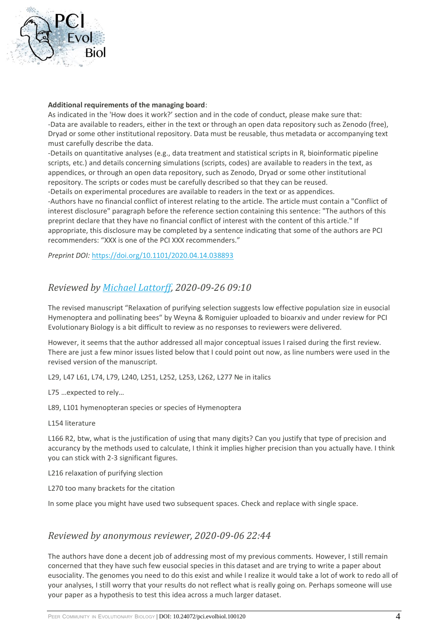

#### **Additional requirements of the managing board**:

As indicated in the 'How does it work?' section and in the code of conduct, please make sure that: -Data are available to readers, either in the text or through an open data repository such as Zenodo (free), Dryad or some other institutional repository. Data must be reusable, thus metadata or accompanying text must carefully describe the data.

-Details on quantitative analyses (e.g., data treatment and statistical scripts in R, bioinformatic pipeline scripts, etc.) and details concerning simulations (scripts, codes) are available to readers in the text, as appendices, or through an open data repository, such as Zenodo, Dryad or some other institutional repository. The scripts or codes must be carefully described so that they can be reused.

-Details on experimental procedures are available to readers in the text or as appendices. -Authors have no financial conflict of interest relating to the article. The article must contain a "Conflict of interest disclosure" paragraph before the reference section containing this sentence: "The authors of this preprint declare that they have no financial conflict of interest with the content of this article." If appropriate, this disclosure may be completed by a sentence indicating that some of the authors are PCI recommenders: "XXX is one of the PCI XXX recommenders."

*Preprint DOI:* <https://doi.org/10.1101/2020.04.14.038893>

### *Reviewed by [Michael Lattorff,](https://evolbiol.peercommunityin.org/public/viewUserCard?userId=803) 2020-09-26 09:10*

The revised manuscript "Relaxation of purifying selection suggests low effective population size in eusocial Hymenoptera and pollinating bees" by Weyna & Romiguier uploaded to bioarxiv and under review for PCI Evolutionary Biology is a bit difficult to review as no responses to reviewers were delivered.

However, it seems that the author addressed all major conceptual issues I raised during the first review. There are just a few minor issues listed below that I could point out now, as line numbers were used in the revised version of the manuscript.

L29, L47 L61, L74, L79, L240, L251, L252, L253, L262, L277 Ne in italics

L75 …expected to rely…

L89, L101 hymenopteran species or species of Hymenoptera

L154 literature

L166 R2, btw, what is the justification of using that many digits? Can you justify that type of precision and accurancy by the methods used to calculate, I think it implies higher precision than you actually have. I think you can stick with 2-3 significant figures.

L216 relaxation of purifying slection

L270 too many brackets for the citation

In some place you might have used two subsequent spaces. Check and replace with single space.

### *Reviewed by anonymous reviewer, 2020-09-06 22:44*

The authors have done a decent job of addressing most of my previous comments. However, I still remain concerned that they have such few eusocial species in this dataset and are trying to write a paper about eusociality. The genomes you need to do this exist and while I realize it would take a lot of work to redo all of your analyses, I still worry that your results do not reflect what is really going on. Perhaps someone will use your paper as a hypothesis to test this idea across a much larger dataset.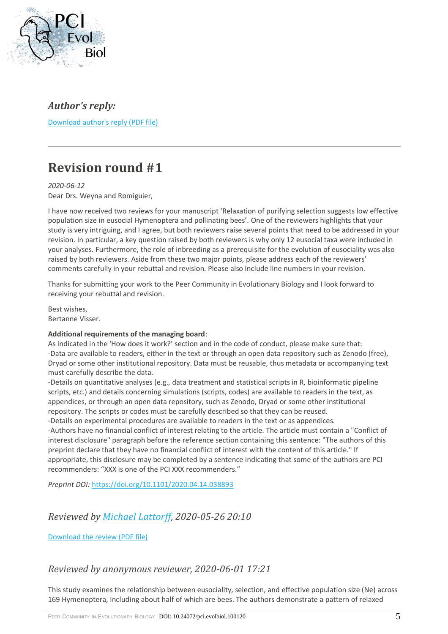

## *Author's reply:*

[Download author's reply \(PDF file\)](https://evolbiol.peercommunityin.org/download/t_recommendations.reply_pdf.beab6244489d6b11.726573706f6e73655f746f5f7265766965775f726f756e64322e706466.pdf)

# **Revision round #1**

*2020-06-12* Dear Drs. Weyna and Romiguier,

I have now received two reviews for your manuscript 'Relaxation of purifying selection suggests low effective population size in eusocial Hymenoptera and pollinating bees'. One of the reviewers highlights that your study is very intriguing, and I agree, but both reviewers raise several points that need to be addressed in your revision. In particular, a key question raised by both reviewers is why only 12 eusocial taxa were included in your analyses. Furthermore, the role of inbreeding as a prerequisite for the evolution of eusociality was also raised by both reviewers. Aside from these two major points, please address each of the reviewers' comments carefully in your rebuttal and revision. Please also include line numbers in your revision.

Thanks for submitting your work to the Peer Community in Evolutionary Biology and I look forward to receiving your rebuttal and revision.

Best wishes, Bertanne Visser.

### **Additional requirements of the managing board**:

As indicated in the 'How does it work?' section and in the code of conduct, please make sure that: -Data are available to readers, either in the text or through an open data repository such as Zenodo (free), Dryad or some other institutional repository. Data must be reusable, thus metadata or accompanying text must carefully describe the data.

-Details on quantitative analyses (e.g., data treatment and statistical scripts in R, bioinformatic pipeline scripts, etc.) and details concerning simulations (scripts, codes) are available to readers in the text, as appendices, or through an open data repository, such as Zenodo, Dryad or some other institutional repository. The scripts or codes must be carefully described so that they can be reused.

-Details on experimental procedures are available to readers in the text or as appendices. -Authors have no financial conflict of interest relating to the article. The article must contain a "Conflict of interest disclosure" paragraph before the reference section containing this sentence: "The authors of this preprint declare that they have no financial conflict of interest with the content of this article." If appropriate, this disclosure may be completed by a sentence indicating that some of the authors are PCI recommenders: "XXX is one of the PCI XXX recommenders."

*Preprint DOI:* <https://doi.org/10.1101/2020.04.14.038893>

### *Reviewed by [Michael Lattorff,](https://evolbiol.peercommunityin.org/public/viewUserCard?userId=803) 2020-05-26 20:10*

[Download the review \(PDF file\)](https://evolbiol.peercommunityin.org/download/t_reviews.review_pdf.b53a9d2ebf4a8cab.7265766965775f7765796e615f726f6d69677565725f7063695f65766f6c5f62696f6c2e706466.pdf)

### *Reviewed by anonymous reviewer, 2020-06-01 17:21*

This study examines the relationship between eusociality, selection, and effective population size (Ne) across 169 Hymenoptera, including about half of which are bees. The authors demonstrate a pattern of relaxed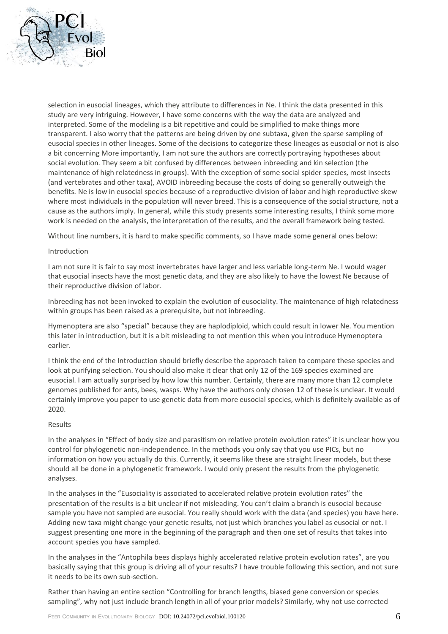

selection in eusocial lineages, which they attribute to differences in Ne. I think the data presented in this study are very intriguing. However, I have some concerns with the way the data are analyzed and interpreted. Some of the modeling is a bit repetitive and could be simplified to make things more transparent. I also worry that the patterns are being driven by one subtaxa, given the sparse sampling of eusocial species in other lineages. Some of the decisions to categorize these lineages as eusocial or not is also a bit concerning More importantly, I am not sure the authors are correctly portraying hypotheses about social evolution. They seem a bit confused by differences between inbreeding and kin selection (the maintenance of high relatedness in groups). With the exception of some social spider species, most insects (and vertebrates and other taxa), AVOID inbreeding because the costs of doing so generally outweigh the benefits. Ne is low in eusocial species because of a reproductive division of labor and high reproductive skew where most individuals in the population will never breed. This is a consequence of the social structure, not a cause as the authors imply. In general, while this study presents some interesting results, I think some more work is needed on the analysis, the interpretation of the results, and the overall framework being tested.

Without line numbers, it is hard to make specific comments, so I have made some general ones below:

### Introduction

I am not sure it is fair to say most invertebrates have larger and less variable long-term Ne. I would wager that eusocial insects have the most genetic data, and they are also likely to have the lowest Ne because of their reproductive division of labor.

Inbreeding has not been invoked to explain the evolution of eusociality. The maintenance of high relatedness within groups has been raised as a prerequisite, but not inbreeding.

Hymenoptera are also "special" because they are haplodiploid, which could result in lower Ne. You mention this later in introduction, but it is a bit misleading to not mention this when you introduce Hymenoptera earlier.

I think the end of the Introduction should briefly describe the approach taken to compare these species and look at purifying selection. You should also make it clear that only 12 of the 169 species examined are eusocial. I am actually surprised by how low this number. Certainly, there are many more than 12 complete genomes published for ants, bees, wasps. Why have the authors only chosen 12 of these is unclear. It would certainly improve you paper to use genetic data from more eusocial species, which is definitely available as of 2020.

### Results

In the analyses in "Effect of body size and parasitism on relative protein evolution rates" it is unclear how you control for phylogenetic non-independence. In the methods you only say that you use PICs, but no information on how you actually do this. Currently, it seems like these are straight linear models, but these should all be done in a phylogenetic framework. I would only present the results from the phylogenetic analyses.

In the analyses in the "Eusociality is associated to accelerated relative protein evolution rates" the presentation of the results is a bit unclear if not misleading. You can't claim a branch is eusocial because sample you have not sampled are eusocial. You really should work with the data (and species) you have here. Adding new taxa might change your genetic results, not just which branches you label as eusocial or not. I suggest presenting one more in the beginning of the paragraph and then one set of results that takes into account species you have sampled.

In the analyses in the "Antophila bees displays highly accelerated relative protein evolution rates", are you basically saying that this group is driving all of your results? I have trouble following this section, and not sure it needs to be its own sub-section.

Rather than having an entire section "Controlling for branch lengths, biased gene conversion or species sampling", why not just include branch length in all of your prior models? Similarly, why not use corrected